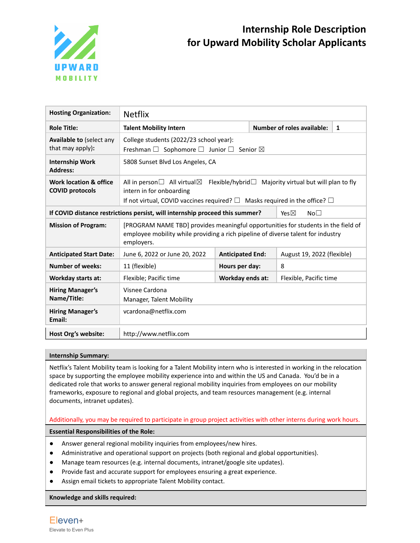

| <b>Hosting Organization:</b>                                                                                       | <b>Netflix</b>                                                                                                                                                                                                                   |                         |                                 |                        |                            |  |  |
|--------------------------------------------------------------------------------------------------------------------|----------------------------------------------------------------------------------------------------------------------------------------------------------------------------------------------------------------------------------|-------------------------|---------------------------------|------------------------|----------------------------|--|--|
| <b>Role Title:</b>                                                                                                 | <b>Talent Mobility Intern</b>                                                                                                                                                                                                    |                         | Number of roles available:<br>1 |                        |                            |  |  |
| <b>Available to (select any</b><br>that may apply):                                                                | College students (2022/23 school year):<br>Freshman $\Box$ Sophomore $\Box$ Junior $\Box$ Senior $\boxtimes$                                                                                                                     |                         |                                 |                        |                            |  |  |
| <b>Internship Work</b><br><b>Address:</b>                                                                          | 5808 Sunset Blvd Los Angeles, CA                                                                                                                                                                                                 |                         |                                 |                        |                            |  |  |
| Work location & office<br><b>COVID protocols</b>                                                                   | All in person $\Box$ All virtual $\boxtimes$<br>Flexible/hybrid $\Box$ Majority virtual but will plan to fly<br>intern in for onboarding<br>If not virtual, COVID vaccines required? $\Box$ Masks required in the office? $\Box$ |                         |                                 |                        |                            |  |  |
| If COVID distance restrictions persist, will internship proceed this summer?<br>Yes $\boxtimes$<br>No <sub>1</sub> |                                                                                                                                                                                                                                  |                         |                                 |                        |                            |  |  |
| <b>Mission of Program:</b>                                                                                         | [PROGRAM NAME TBD] provides meaningful opportunities for students in the field of<br>employee mobility while providing a rich pipeline of diverse talent for industry<br>employers.                                              |                         |                                 |                        |                            |  |  |
| <b>Anticipated Start Date:</b>                                                                                     | June 6, 2022 or June 20, 2022                                                                                                                                                                                                    | <b>Anticipated End:</b> |                                 |                        | August 19, 2022 (flexible) |  |  |
| <b>Number of weeks:</b>                                                                                            | 11 (flexible)                                                                                                                                                                                                                    |                         | Hours per day:<br>8             |                        |                            |  |  |
| <b>Workday starts at:</b>                                                                                          | Flexible; Pacific time                                                                                                                                                                                                           | Workday ends at:        |                                 | Flexible, Pacific time |                            |  |  |
| <b>Hiring Manager's</b><br>Name/Title:                                                                             | Visnee Cardona<br>Manager, Talent Mobility                                                                                                                                                                                       |                         |                                 |                        |                            |  |  |
| <b>Hiring Manager's</b><br>Email:                                                                                  | vcardona@netflix.com                                                                                                                                                                                                             |                         |                                 |                        |                            |  |  |
| Host Org's website:                                                                                                | http://www.netflix.com                                                                                                                                                                                                           |                         |                                 |                        |                            |  |  |

## **Internship Summary:**

Netflix's Talent Mobility team is looking for a Talent Mobility intern who is interested in working in the relocation space by supporting the employee mobility experience into and within the US and Canada. You'd be in a dedicated role that works to answer general regional mobility inquiries from employees on our mobility frameworks, exposure to regional and global projects, and team resources management (e.g. internal documents, intranet updates).

## Additionally, you may be required to participate in group project activities with other interns during work hours.

## **Essential Responsibilities of the Role:**

- Answer general regional mobility inquiries from employees/new hires.
- Administrative and operational support on projects (both regional and global opportunities).
- Manage team resources (e.g. internal documents, intranet/google site updates).
- Provide fast and accurate support for employees ensuring a great experience.
- Assign email tickets to appropriate Talent Mobility contact.

### **Knowledge and skills required:**